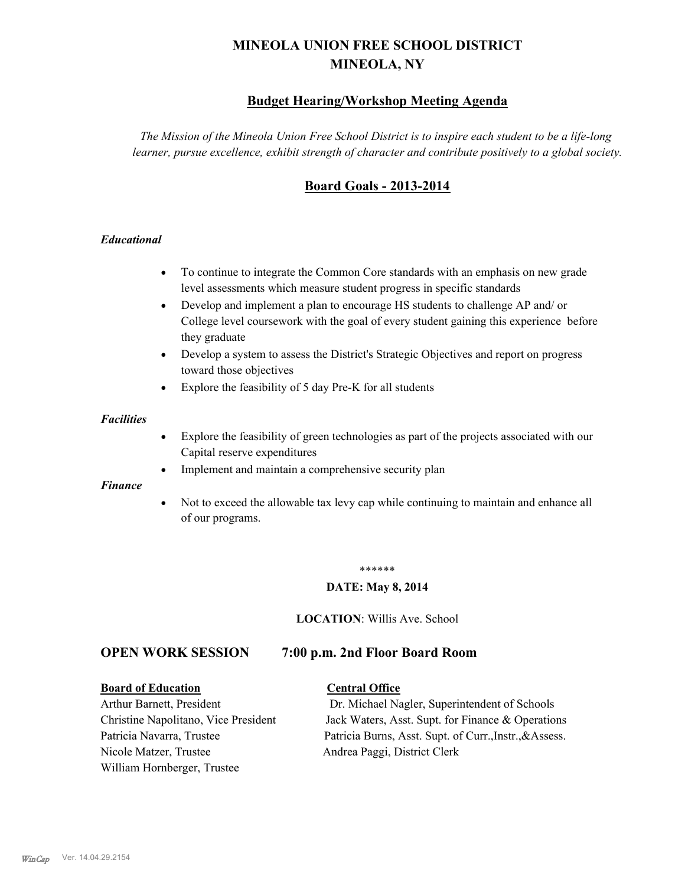# **MINEOLA UNION FREE SCHOOL DISTRICT MINEOLA, NY**

## **Budget Hearing/Workshop Meeting Agenda**

*The Mission of the Mineola Union Free School District is to inspire each student to be a life-long learner, pursue excellence, exhibit strength of character and contribute positively to a global society.*

## **Board Goals - 2013-2014**

### *Educational*

- · To continue to integrate the Common Core standards with an emphasis on new grade level assessments which measure student progress in specific standards
- · Develop and implement a plan to encourage HS students to challenge AP and/ or College level coursework with the goal of every student gaining this experience before they graduate
- Develop a system to assess the District's Strategic Objectives and report on progress toward those objectives
- · Explore the feasibility of 5 day Pre-K for all students

#### *Facilities*

- · Explore the feasibility of green technologies as part of the projects associated with our Capital reserve expenditures
- Implement and maintain a comprehensive security plan

#### *Finance*

• Not to exceed the allowable tax levy cap while continuing to maintain and enhance all of our programs.

#### \*\*\*\*\*\*

#### **DATE: May 8, 2014**

**LOCATION**: Willis Ave. School

## **OPEN WORK SESSION 7:00 p.m. 2nd Floor Board Room**

#### **Board of Education Central Office**

Nicole Matzer, Trustee Andrea Paggi, District Clerk William Hornberger, Trustee

Arthur Barnett, President Dr. Michael Nagler, Superintendent of Schools Christine Napolitano, Vice President Jack Waters, Asst. Supt. for Finance & Operations Patricia Navarra, Trustee Patricia Burns, Asst. Supt. of Curr., Instr., &Assess.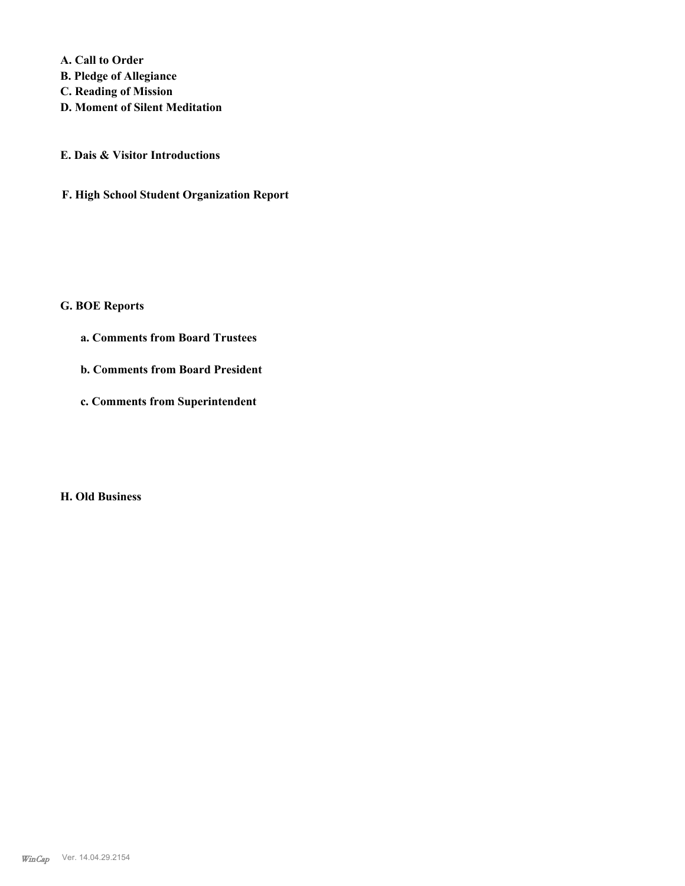**A. Call to Order** 

- **B. Pledge of Allegiance**
- **C. Reading of Mission**
- **D. Moment of Silent Meditation**
- **E. Dais & Visitor Introductions**
- **F. High School Student Organization Report**

## **G. BOE Reports**

- **a. Comments from Board Trustees**
- **b. Comments from Board President**
- **c. Comments from Superintendent**

#### **H. Old Business**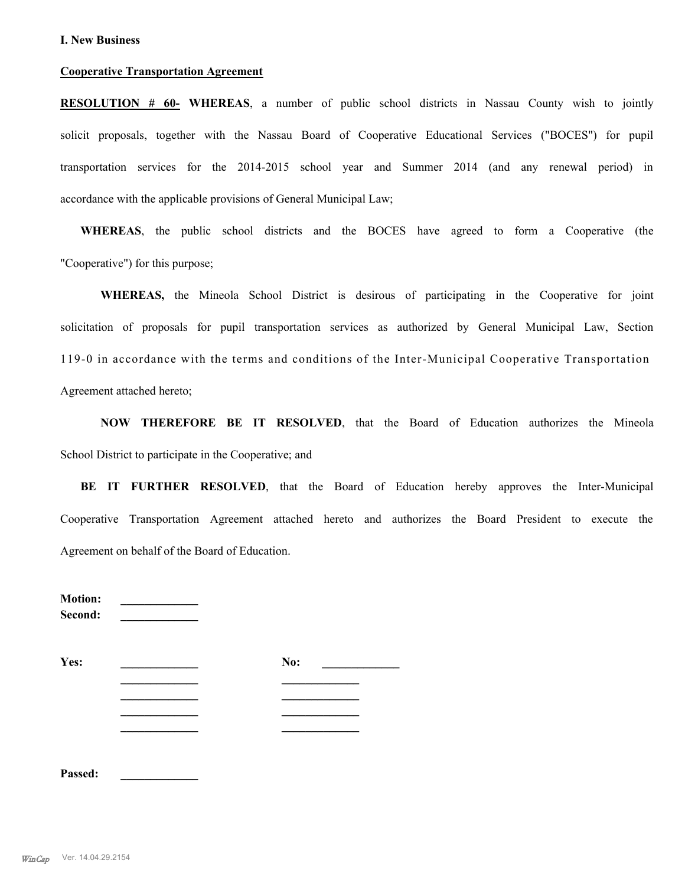#### **Cooperative Transportation Agreement**

**RESOLUTION # 60- WHEREAS**, a number of public school districts in Nassau County wish to jointly solicit proposals, together with the Nassau Board of Cooperative Educational Services ("BOCES") for pupil transportation services for the 2014-2015 school year and Summer 2014 (and any renewal period) in accordance with the applicable provisions of General Municipal Law;

**WHEREAS**, the public school districts and the BOCES have agreed to form a Cooperative (the "Cooperative") for this purpose;

**WHEREAS,** the Mineola School District is desirous of participating in the Cooperative for joint solicitation of proposals for pupil transportation services as authorized by General Municipal Law, Section 119-0 in accordance with the terms and conditions of the Inter-Municipal Cooperative Transportation Agreement attached hereto;

**NOW THEREFORE BE IT RESOLVED**, that the Board of Education authorizes the Mineola School District to participate in the Cooperative; and

**BE IT FURTHER RESOLVED**, that the Board of Education hereby approves the Inter-Municipal Cooperative Transportation Agreement attached hereto and authorizes the Board President to execute the Agreement on behalf of the Board of Education.

| <b>Motion:</b><br>Second: |     |  |
|---------------------------|-----|--|
| Yes:                      | No: |  |
|                           |     |  |
|                           |     |  |
|                           |     |  |
|                           |     |  |
|                           |     |  |

**Passed: \_\_\_\_\_\_\_\_\_\_\_\_\_**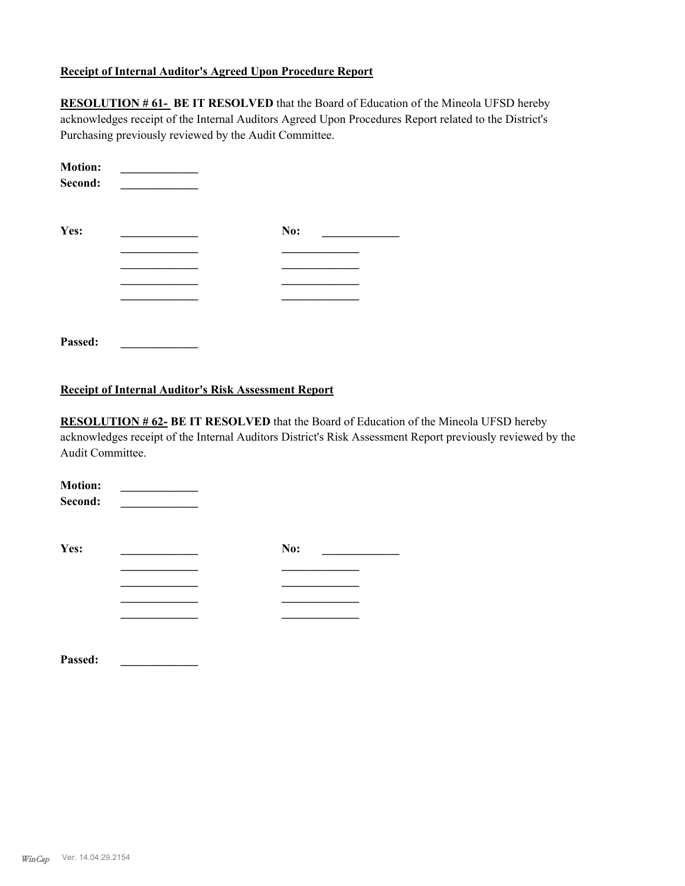#### **Receipt of Internal Auditor's Agreed Upon Procedure Report**

**RESOLUTION # 61- BE IT RESOLVED** that the Board of Education of the Mineola UFSD hereby acknowledges receipt of the Internal Auditors Agreed Upon Procedures Report related to the District's Purchasing previously reviewed by the Audit Committee.

| <b>Motion:</b><br>Second: |     |  |
|---------------------------|-----|--|
| Yes:                      | No: |  |
|                           |     |  |
|                           |     |  |
|                           |     |  |
|                           |     |  |
| Passed:                   |     |  |

#### **Receipt of Internal Auditor's Risk Assessment Report**

**RESOLUTION # 62- BE IT RESOLVED** that the Board of Education of the Mineola UFSD hereby acknowledges receipt of the Internal Auditors District's Risk Assessment Report previously reviewed by the Audit Committee.

| <b>Motion:</b><br>Second: |     |  |
|---------------------------|-----|--|
| Yes:                      | No: |  |
|                           |     |  |
|                           |     |  |
|                           |     |  |
|                           |     |  |
|                           |     |  |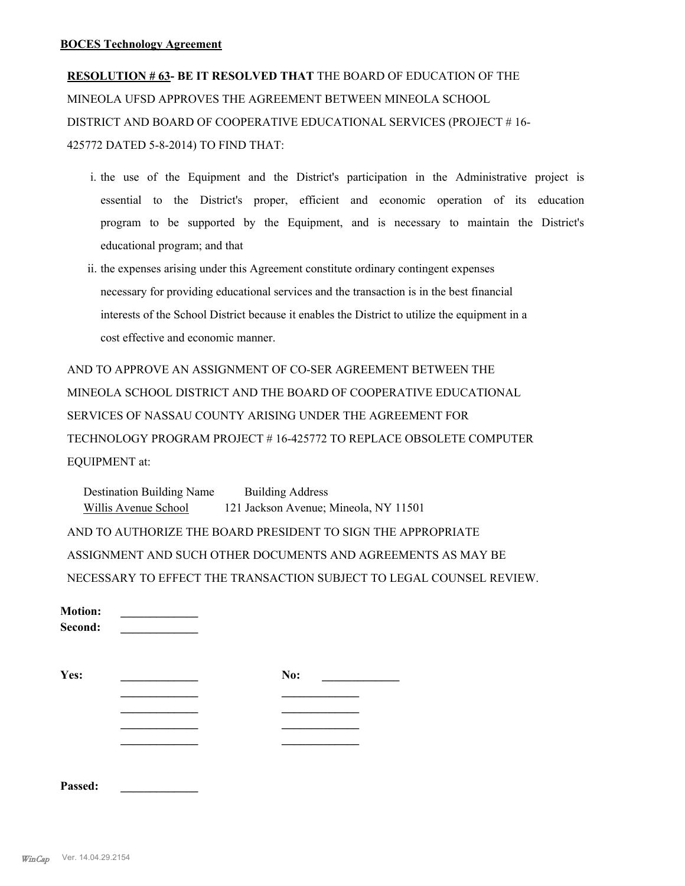**RESOLUTION # 63- BE IT RESOLVED THAT** THE BOARD OF EDUCATION OF THE MINEOLA UFSD APPROVES THE AGREEMENT BETWEEN MINEOLA SCHOOL DISTRICT AND BOARD OF COOPERATIVE EDUCATIONAL SERVICES (PROJECT # 16- 425772 DATED 5-8-2014) TO FIND THAT:

- i. the use of the Equipment and the District's participation in the Administrative project is essential to the District's proper, efficient and economic operation of its education program to be supported by the Equipment, and is necessary to maintain the District's educational program; and that
- ii. the expenses arising under this Agreement constitute ordinary contingent expenses necessary for providing educational services and the transaction is in the best financial interests of the School District because it enables the District to utilize the equipment in a cost effective and economic manner.

AND TO APPROVE AN ASSIGNMENT OF CO-SER AGREEMENT BETWEEN THE MINEOLA SCHOOL DISTRICT AND THE BOARD OF COOPERATIVE EDUCATIONAL SERVICES OF NASSAU COUNTY ARISING UNDER THE AGREEMENT FOR TECHNOLOGY PROGRAM PROJECT # 16-425772 TO REPLACE OBSOLETE COMPUTER EQUIPMENT at:

Destination Building Name Building Address Willis Avenue School 121 Jackson Avenue; Mineola, NY 11501 AND TO AUTHORIZE THE BOARD PRESIDENT TO SIGN THE APPROPRIATE ASSIGNMENT AND SUCH OTHER DOCUMENTS AND AGREEMENTS AS MAY BE NECESSARY TO EFFECT THE TRANSACTION SUBJECT TO LEGAL COUNSEL REVIEW.

| <b>Motion:</b><br>Second: |     |  |
|---------------------------|-----|--|
| Yes:                      | No: |  |
|                           |     |  |
|                           |     |  |
|                           |     |  |
|                           |     |  |

| Passed: |  |
|---------|--|
|         |  |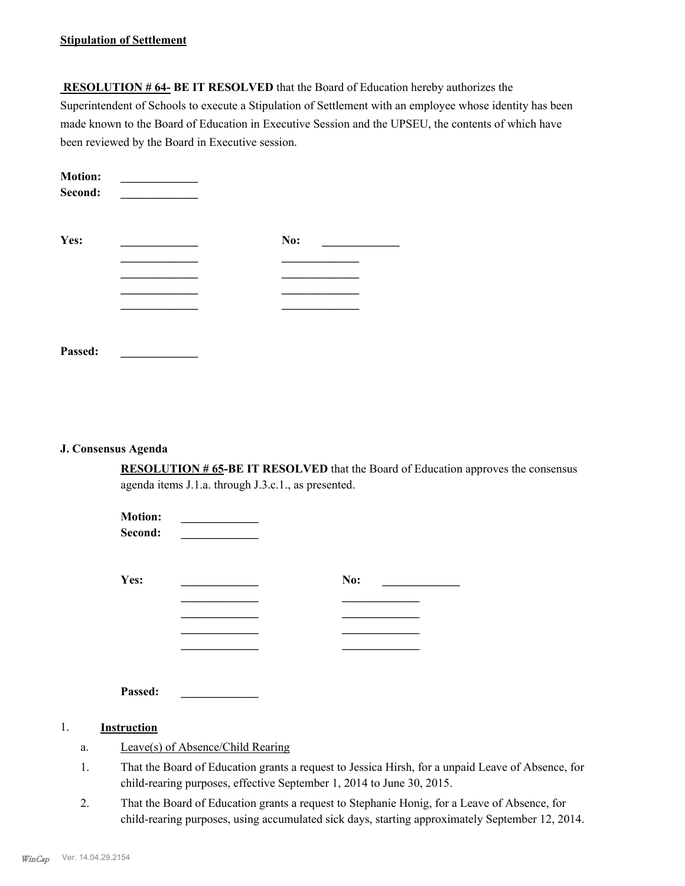#### **Stipulation of Settlement**

 **RESOLUTION # 64- BE IT RESOLVED** that the Board of Education hereby authorizes the Superintendent of Schools to execute a Stipulation of Settlement with an employee whose identity has been made known to the Board of Education in Executive Session and the UPSEU, the contents of which have been reviewed by the Board in Executive session.

| <b>Motion:</b><br>Second: |     |  |
|---------------------------|-----|--|
| Yes:                      | No: |  |
|                           |     |  |
|                           |     |  |
|                           |     |  |
|                           |     |  |
|                           |     |  |
| Passed:                   |     |  |

#### **J. Consensus Agenda**

**RESOLUTION # 65-BE IT RESOLVED** that the Board of Education approves the consensus agenda items J.1.a. through J.3.c.1., as presented.

| <b>Motion:</b><br>Second: |     |  |
|---------------------------|-----|--|
| Yes:                      | No: |  |
|                           |     |  |
|                           |     |  |
| Passed:                   |     |  |
| 1.<br>Instruction         |     |  |

- a. Leave(s) of Absence/Child Rearing
- That the Board of Education grants a request to Jessica Hirsh, for a unpaid Leave of Absence, for child-rearing purposes, effective September 1, 2014 to June 30, 2015. 1.
- That the Board of Education grants a request to Stephanie Honig, for a Leave of Absence, for child-rearing purposes, using accumulated sick days, starting approximately September 12, 2014. 2.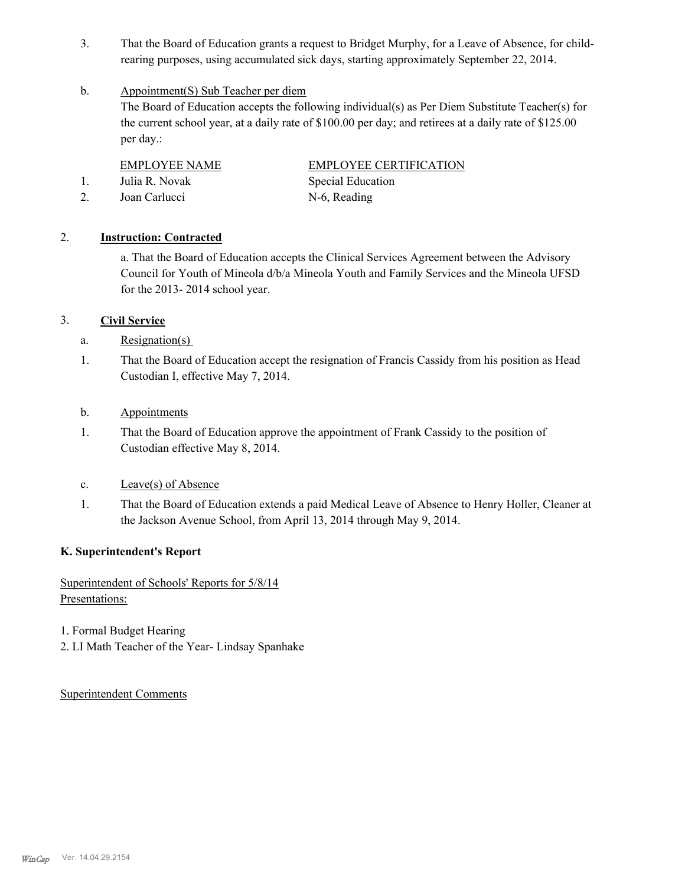That the Board of Education grants a request to Bridget Murphy, for a Leave of Absence, for childrearing purposes, using accumulated sick days, starting approximately September 22, 2014. 3.

#### Appointment(S) Sub Teacher per diem b.

The Board of Education accepts the following individual(s) as Per Diem Substitute Teacher(s) for the current school year, at a daily rate of \$100.00 per day; and retirees at a daily rate of \$125.00 per day.:

- 1. Julia R. Novak Special Education
- 2. Joan Carlucci N-6, Reading

EMPLOYEE NAME EMPLOYEE CERTIFICATION

## 2. **Instruction: Contracted**

a. That the Board of Education accepts the Clinical Services Agreement between the Advisory Council for Youth of Mineola d/b/a Mineola Youth and Family Services and the Mineola UFSD for the 2013- 2014 school year.

## 3. **Civil Service**

- a. Resignation(s)
- That the Board of Education accept the resignation of Francis Cassidy from his position as Head Custodian I, effective May 7, 2014. 1.
- b. Appointments
- That the Board of Education approve the appointment of Frank Cassidy to the position of Custodian effective May 8, 2014. 1.
- c. Leave(s) of Absence
- That the Board of Education extends a paid Medical Leave of Absence to Henry Holler, Cleaner at the Jackson Avenue School, from April 13, 2014 through May 9, 2014. 1.

## **K. Superintendent's Report**

Superintendent of Schools' Reports for 5/8/14 Presentations:

- 1. Formal Budget Hearing
- 2. LI Math Teacher of the Year- Lindsay Spanhake

Superintendent Comments